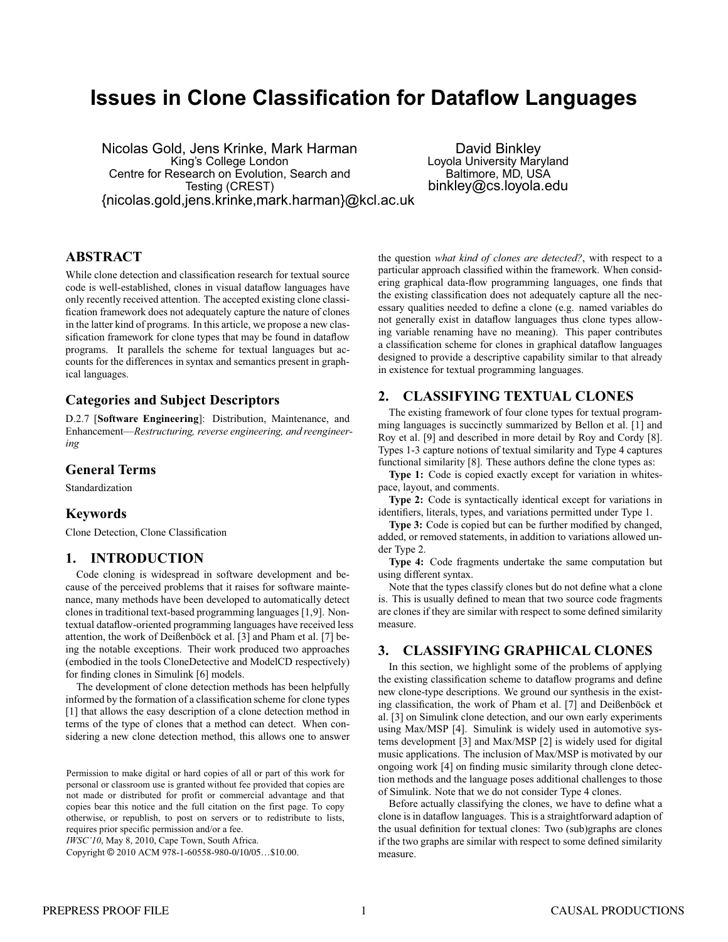# **Issues in Clone Classification for Dataflow Languages**

Nicolas Gold, Jens Krinke, Mark Harman King's College London Centre for Research on Evolution, Search and Testing (CREST) {nicolas.gold,jens.krinke,mark.harman}@kcl.ac.uk

David Binkley Loyola University Maryland Baltimore, MD, USA binkley@cs.loyola.edu

# **ABSTRACT**

While clone detection and classification research for textual source code is well-established, clones in visual dataflow languages have only recently received attention. The accepted existing clone classification framework does not adequately capture the nature of clones in the latter kind of programs. In this article, we propose a new classification framework for clone types that may be found in dataflow programs. It parallels the scheme for textual languages but accounts for the differences in syntax and semantics present in graphical languages.

# **Categories and Subject Descriptors**

D.2.7 [**Software Engineering**]: Distribution, Maintenance, and Enhancement—*Restructuring, reverse engineering, and reengineering*

#### **General Terms**

Standardization

#### **Keywords**

Clone Detection, Clone Classification

# **1. INTRODUCTION**

Code cloning is widespread in software development and because of the perceived problems that it raises for software maintenance, many methods have been developed to automatically detect clones in traditional text-based programming languages [1,9]. Nontextual dataflow-oriented programming languages have received less attention, the work of Deißenböck et al. [3] and Pham et al. [7] being the notable exceptions. Their work produced two approaches (embodied in the tools CloneDetective and ModelCD respectively) for finding clones in Simulink [6] models.

The development of clone detection methods has been helpfully informed by the formation of a classification scheme for clone types [1] that allows the easy description of a clone detection method in terms of the type of clones that a method can detect. When considering a new clone detection method, this allows one to answer

*IWSC'10*, May 8, 2010, Cape Town, South Africa.

Copyright © 2010 ACM 978-1-60558-980-0/10/05…\$10.00.

the question *what kind of clones are detected?*, with respect to a particular approach classified within the framework. When considering graphical data-flow programming languages, one finds that the existing classification does not adequately capture all the necessary qualities needed to define a clone (e.g. named variables do not generally exist in dataflow languages thus clone types allowing variable renaming have no meaning). This paper contributes a classification scheme for clones in graphical dataflow languages designed to provide a descriptive capability similar to that already in existence for textual programming languages.

# **2. CLASSIFYING TEXTUAL CLONES**

The existing framework of four clone types for textual programming languages is succinctly summarized by Bellon et al. [1] and Roy et al. [9] and described in more detail by Roy and Cordy [8]. Types 1-3 capture notions of textual similarity and Type 4 captures functional similarity [8]. These authors define the clone types as:

**Type 1:** Code is copied exactly except for variation in whitespace, layout, and comments.

**Type 2:** Code is syntactically identical except for variations in identifiers, literals, types, and variations permitted under Type 1.

**Type 3:** Code is copied but can be further modified by changed, added, or removed statements, in addition to variations allowed under Type 2.

**Type 4:** Code fragments undertake the same computation but using different syntax.

Note that the types classify clones but do not define what a clone is. This is usually defined to mean that two source code fragments are clones if they are similar with respect to some defined similarity measure.

# **3. CLASSIFYING GRAPHICAL CLONES**

In this section, we highlight some of the problems of applying the existing classification scheme to dataflow programs and define new clone-type descriptions. We ground our synthesis in the existing classification, the work of Pham et al. [7] and Deißenböck et al. [3] on Simulink clone detection, and our own early experiments using Max/MSP [4]. Simulink is widely used in automotive systems development [3] and Max/MSP [2] is widely used for digital music applications. The inclusion of Max/MSP is motivated by our ongoing work [4] on finding music similarity through clone detection methods and the language poses additional challenges to those of Simulink. Note that we do not consider Type 4 clones.

Before actually classifying the clones, we have to define what a clone is in dataflow languages. This is a straightforward adaption of the usual definition for textual clones: Two (sub)graphs are clones if the two graphs are similar with respect to some defined similarity measure.

Permission to make digital or hard copies of all or part of this work for personal or classroom use is granted without fee provided that copies are not made or distributed for profit or commercial advantage and that copies bear this notice and the full citation on the first page. To copy otherwise, or republish, to post on servers or to redistribute to lists, requires prior specific permission and/or a fee.